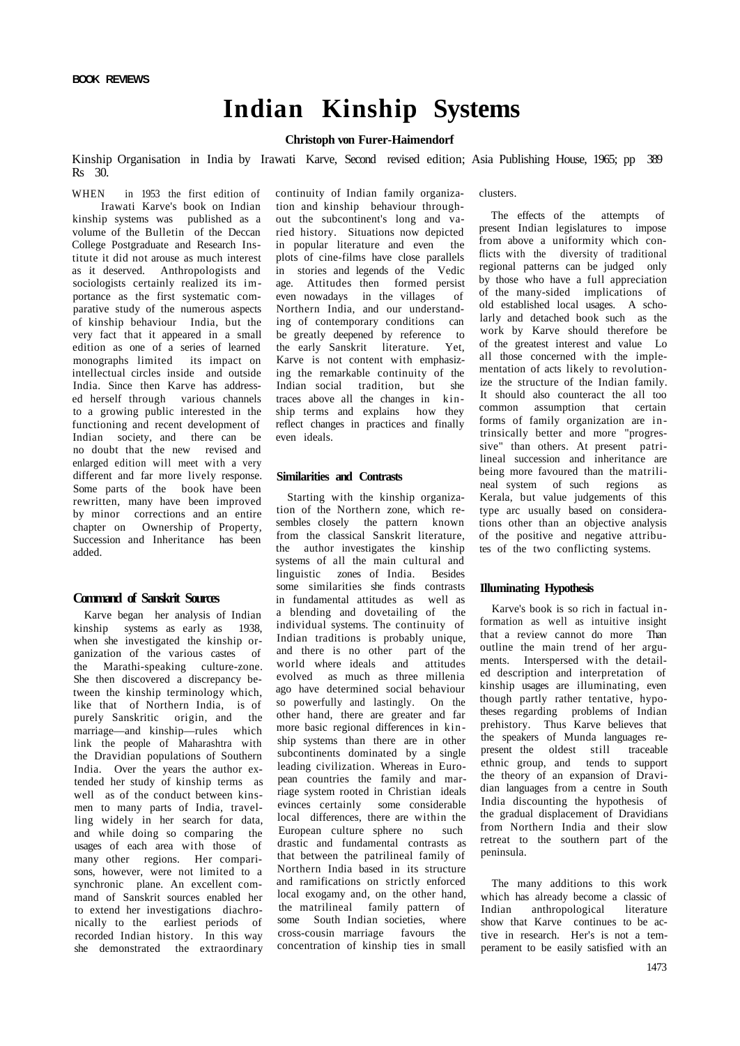## **Indian Kinship Systems**

### **Christoph von Furer-Haimendorf**

Kinship Organisation in India by Irawati Karve, Second revised edition; Asia Publishing House, 1965; pp 389 Rs 30.

WHEN in 1953 the first edition of Irawati Karve's book on Indian kinship systems was published as a volume of the Bulletin of the Deccan College Postgraduate and Research Institute it did not arouse as much interest as it deserved. Anthropologists and sociologists certainly realized its importance as the first systematic comparative study of the numerous aspects of kinship behaviour India, but the very fact that it appeared in a small edition as one of a series of learned monographs limited its impact on intellectual circles inside and outside India. Since then Karve has addressed herself through various channels to a growing public interested in the functioning and recent development of Indian society, and there can be no doubt that the new revised and enlarged edition will meet with a very different and far more lively response. Some parts of the book have been rewritten, many have been improved by minor corrections and an entire chapter on Ownership of Property, Succession and Inheritance has been added.

## **Command of Sanskrit Sources**

Karve began her analysis of Indian kinship systems as early as 1938, when she investigated the kinship organization of the various castes of the Marathi-speaking culture-zone. She then discovered a discrepancy between the kinship terminology which, like that of Northern India, is of purely Sanskritic origin, and the marriage—and kinship—rules which link the people of Maharashtra with the Dravidian populations of Southern India. Over the years the author extended her study of kinship terms as well as of the conduct between kinsmen to many parts of India, travelling widely in her search for data, and while doing so comparing the usages of each area with those of many other regions. Her comparisons, however, were not limited to a synchronic plane. An excellent command of Sanskrit sources enabled her to extend her investigations diachronically to the earliest periods of recorded Indian history. In this way she demonstrated the extraordinary

continuity of Indian family organization and kinship behaviour throughout the subcontinent's long and varied history. Situations now depicted in popular literature and even the plots of cine-films have close parallels in stories and legends of the Vedic age. Attitudes then formed persist even nowadays in the villages of Northern India, and our understanding of contemporary conditions can be greatly deepened by reference to the early Sanskrit literature. Yet, Karve is not content with emphasizing the remarkable continuity of the Indian social tradition, but she traces above all the changes in kinship terms and explains how they reflect changes in practices and finally even ideals.

#### **Similarities and Contrasts**

Starting with the kinship organization of the Northern zone, which resembles closely the pattern known from the classical Sanskrit literature, the author investigates the kinship systems of all the main cultural and linguistic zones of India. Besides some similarities she finds contrasts in fundamental attitudes as well as a blending and dovetailing of the individual systems. The continuity of Indian traditions is probably unique, and there is no other part of the world where ideals and attitudes evolved as much as three millenia ago have determined social behaviour so powerfully and lastingly. On the other hand, there are greater and far more basic regional differences in kinship systems than there are in other subcontinents dominated by a single leading civilization. Whereas in European countries the family and marriage system rooted in Christian ideals evinces certainly some considerable local differences, there are within the European culture sphere no such drastic and fundamental contrasts as that between the patrilineal family of Northern India based in its structure and ramifications on strictly enforced local exogamy and, on the other hand, the matrilineal family pattern of some South Indian societies, where cross-cousin marriage favours the concentration of kinship ties in small

clusters.

The effects of the attempts of present Indian legislatures to impose from above a uniformity which conflicts with the diversity of traditional regional patterns can be judged only by those who have a full appreciation of the many-sided implications of old established local usages. A scholarly and detached book such as the work by Karve should therefore be of the greatest interest and value Lo all those concerned with the implementation of acts likely to revolutionize the structure of the Indian family. It should also counteract the all too common assumption that certain forms of family organization are intrinsically better and more "progressive" than others. At present patrilineal succession and inheritance are being more favoured than the matrilineal system of such regions as Kerala, but value judgements of this type arc usually based on considerations other than an objective analysis of the positive and negative attributes of the two conflicting systems.

#### **Illuminating Hypothesis**

Karve's book is so rich in factual information as well as intuitive insight that a review cannot do more Than outline the main trend of her arguments. Interspersed with the detailed description and interpretation of kinship usages are illuminating, even though partly rather tentative, hypotheses regarding problems of Indian prehistory. Thus Karve believes that the speakers of Munda languages represent the oldest still traceable ethnic group, and tends to support the theory of an expansion of Dravidian languages from a centre in South India discounting the hypothesis of the gradual displacement of Dravidians from Northern India and their slow retreat to the southern part of the peninsula.

The many additions to this work which has already become a classic of Indian anthropological literature show that Karve continues to be active in research. Her's is not a temperament to be easily satisfied with an